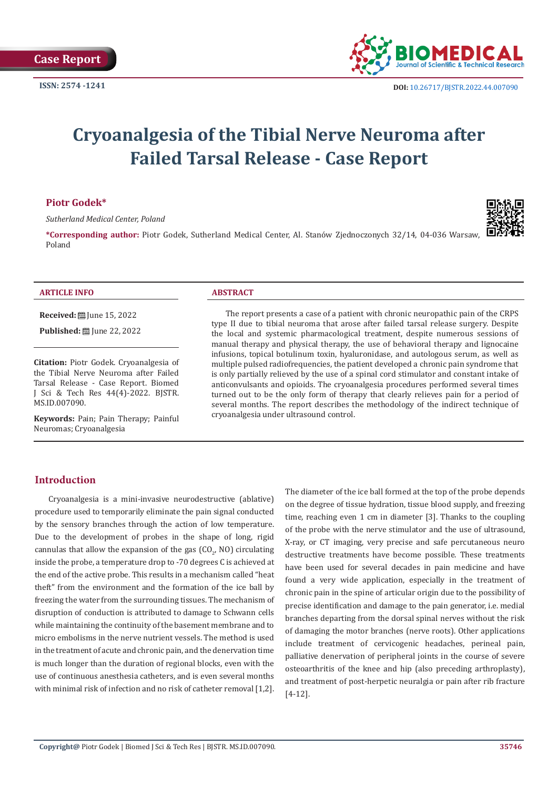

# **Cryoanalgesia of the Tibial Nerve Neuroma after Failed Tarsal Release - Case Report**

# **Piotr Godek\***

*Sutherland Medical Center, Poland*

**\*Corresponding author:** Piotr Godek, Sutherland Medical Center, Al. Stanów Zjednoczonych 32/14, 04-036 Warsaw, Poland



#### **ARTICLE INFO ABSTRACT**

**Received:** [Une 15, 2022]

**Published:** ■ June 22, 2022

**Citation:** Piotr Godek. Cryoanalgesia of the Tibial Nerve Neuroma after Failed Tarsal Release - Case Report. Biomed J Sci & Tech Res 44(4)-2022. BJSTR. MS.ID.007090.

**Keywords:** Pain; Pain Therapy; Painful Neuromas; Cryoanalgesia

The report presents a case of a patient with chronic neuropathic pain of the CRPS type II due to tibial neuroma that arose after failed tarsal release surgery. Despite the local and systemic pharmacological treatment, despite numerous sessions of manual therapy and physical therapy, the use of behavioral therapy and lignocaine infusions, topical botulinum toxin, hyaluronidase, and autologous serum, as well as multiple pulsed radiofrequencies, the patient developed a chronic pain syndrome that is only partially relieved by the use of a spinal cord stimulator and constant intake of anticonvulsants and opioids. The cryoanalgesia procedures performed several times turned out to be the only form of therapy that clearly relieves pain for a period of several months. The report describes the methodology of the indirect technique of cryoanalgesia under ultrasound control.

# **Introduction**

Cryoanalgesia is a mini-invasive neurodestructive (ablative) procedure used to temporarily eliminate the pain signal conducted by the sensory branches through the action of low temperature. Due to the development of probes in the shape of long, rigid cannulas that allow the expansion of the gas  $({\rm CO}_{2^{\prime}}$  NO) circulating inside the probe, a temperature drop to -70 degrees C is achieved at the end of the active probe. This results in a mechanism called "heat theft" from the environment and the formation of the ice ball by freezing the water from the surrounding tissues. The mechanism of disruption of conduction is attributed to damage to Schwann cells while maintaining the continuity of the basement membrane and to micro embolisms in the nerve nutrient vessels. The method is used in the treatment of acute and chronic pain, and the denervation time is much longer than the duration of regional blocks, even with the use of continuous anesthesia catheters, and is even several months with minimal risk of infection and no risk of catheter removal [1,2].

The diameter of the ice ball formed at the top of the probe depends on the degree of tissue hydration, tissue blood supply, and freezing time, reaching even 1 cm in diameter [3]. Thanks to the coupling of the probe with the nerve stimulator and the use of ultrasound, X-ray, or CT imaging, very precise and safe percutaneous neuro destructive treatments have become possible. These treatments have been used for several decades in pain medicine and have found a very wide application, especially in the treatment of chronic pain in the spine of articular origin due to the possibility of precise identification and damage to the pain generator, i.e. medial branches departing from the dorsal spinal nerves without the risk of damaging the motor branches (nerve roots). Other applications include treatment of cervicogenic headaches, perineal pain, palliative denervation of peripheral joints in the course of severe osteoarthritis of the knee and hip (also preceding arthroplasty), and treatment of post-herpetic neuralgia or pain after rib fracture [4-12].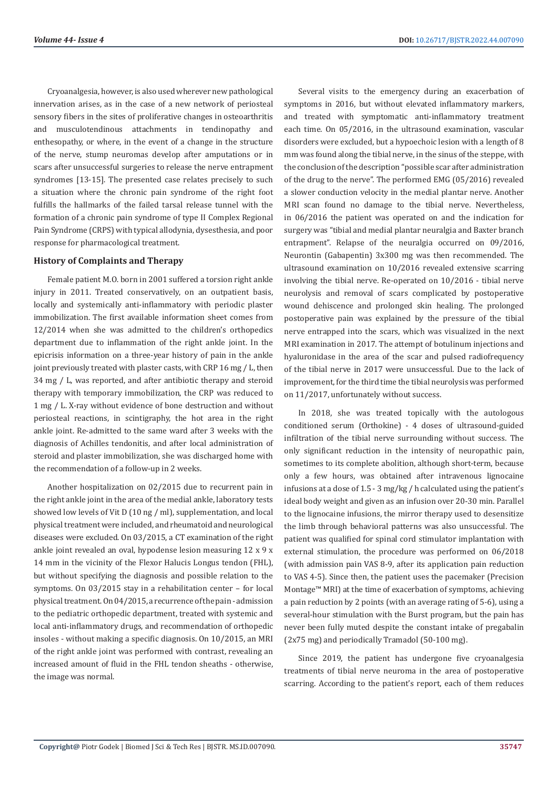Cryoanalgesia, however, is also used wherever new pathological innervation arises, as in the case of a new network of periosteal sensory fibers in the sites of proliferative changes in osteoarthritis and musculotendinous attachments in tendinopathy and enthesopathy, or where, in the event of a change in the structure of the nerve, stump neuromas develop after amputations or in scars after unsuccessful surgeries to release the nerve entrapment syndromes [13-15]. The presented case relates precisely to such a situation where the chronic pain syndrome of the right foot fulfills the hallmarks of the failed tarsal release tunnel with the formation of a chronic pain syndrome of type II Complex Regional Pain Syndrome (CRPS) with typical allodynia, dysesthesia, and poor response for pharmacological treatment.

### **History of Complaints and Therapy**

Female patient M.O. born in 2001 suffered a torsion right ankle injury in 2011. Treated conservatively, on an outpatient basis, locally and systemically anti-inflammatory with periodic plaster immobilization. The first available information sheet comes from 12/2014 when she was admitted to the children's orthopedics department due to inflammation of the right ankle joint. In the epicrisis information on a three-year history of pain in the ankle joint previously treated with plaster casts, with CRP 16 mg / L, then 34 mg / L, was reported, and after antibiotic therapy and steroid therapy with temporary immobilization, the CRP was reduced to 1 mg / L. X-ray without evidence of bone destruction and without periosteal reactions, in scintigraphy, the hot area in the right ankle joint. Re-admitted to the same ward after 3 weeks with the diagnosis of Achilles tendonitis, and after local administration of steroid and plaster immobilization, she was discharged home with the recommendation of a follow-up in 2 weeks.

Another hospitalization on 02/2015 due to recurrent pain in the right ankle joint in the area of the medial ankle, laboratory tests showed low levels of Vit D (10 ng / ml), supplementation, and local physical treatment were included, and rheumatoid and neurological diseases were excluded. On 03/2015, a CT examination of the right ankle joint revealed an oval, hypodense lesion measuring 12 x 9 x 14 mm in the vicinity of the Flexor Halucis Longus tendon (FHL), but without specifying the diagnosis and possible relation to the symptoms. On 03/2015 stay in a rehabilitation center – for local physical treatment. On 04/2015, a recurrence of the pain - admission to the pediatric orthopedic department, treated with systemic and local anti-inflammatory drugs, and recommendation of orthopedic insoles - without making a specific diagnosis. On 10/2015, an MRI of the right ankle joint was performed with contrast, revealing an increased amount of fluid in the FHL tendon sheaths - otherwise, the image was normal.

Several visits to the emergency during an exacerbation of symptoms in 2016, but without elevated inflammatory markers, and treated with symptomatic anti-inflammatory treatment each time. On 05/2016, in the ultrasound examination, vascular disorders were excluded, but a hypoechoic lesion with a length of 8 mm was found along the tibial nerve, in the sinus of the steppe, with the conclusion of the description "possible scar after administration of the drug to the nerve". The performed EMG (05/2016) revealed a slower conduction velocity in the medial plantar nerve. Another MRI scan found no damage to the tibial nerve. Nevertheless, in 06/2016 the patient was operated on and the indication for surgery was "tibial and medial plantar neuralgia and Baxter branch entrapment". Relapse of the neuralgia occurred on 09/2016, Neurontin (Gabapentin) 3x300 mg was then recommended. The ultrasound examination on 10/2016 revealed extensive scarring involving the tibial nerve. Re-operated on 10/2016 - tibial nerve neurolysis and removal of scars complicated by postoperative wound dehiscence and prolonged skin healing. The prolonged postoperative pain was explained by the pressure of the tibial nerve entrapped into the scars, which was visualized in the next MRI examination in 2017. The attempt of botulinum injections and hyaluronidase in the area of the scar and pulsed radiofrequency of the tibial nerve in 2017 were unsuccessful. Due to the lack of improvement, for the third time the tibial neurolysis was performed on 11/2017, unfortunately without success.

In 2018, she was treated topically with the autologous conditioned serum (Orthokine) - 4 doses of ultrasound-guided infiltration of the tibial nerve surrounding without success. The only significant reduction in the intensity of neuropathic pain, sometimes to its complete abolition, although short-term, because only a few hours, was obtained after intravenous lignocaine infusions at a dose of 1.5 - 3 mg/kg / h calculated using the patient's ideal body weight and given as an infusion over 20-30 min. Parallel to the lignocaine infusions, the mirror therapy used to desensitize the limb through behavioral patterns was also unsuccessful. The patient was qualified for spinal cord stimulator implantation with external stimulation, the procedure was performed on 06/2018 (with admission pain VAS 8-9, after its application pain reduction to VAS 4-5). Since then, the patient uses the pacemaker (Precision Montage™ MRI) at the time of exacerbation of symptoms, achieving a pain reduction by 2 points (with an average rating of 5-6), using a several-hour stimulation with the Burst program, but the pain has never been fully muted despite the constant intake of pregabalin (2x75 mg) and periodically Tramadol (50-100 mg).

Since 2019, the patient has undergone five cryoanalgesia treatments of tibial nerve neuroma in the area of postoperative scarring. According to the patient's report, each of them reduces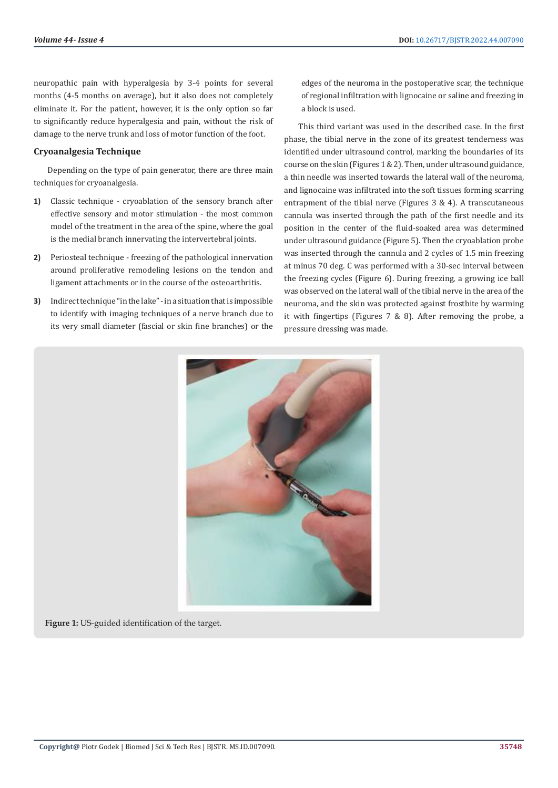neuropathic pain with hyperalgesia by 3-4 points for several months (4-5 months on average), but it also does not completely eliminate it. For the patient, however, it is the only option so far to significantly reduce hyperalgesia and pain, without the risk of damage to the nerve trunk and loss of motor function of the foot.

#### **Cryoanalgesia Technique**

Depending on the type of pain generator, there are three main techniques for cryoanalgesia.

- **1)** Classic technique cryoablation of the sensory branch after effective sensory and motor stimulation - the most common model of the treatment in the area of the spine, where the goal is the medial branch innervating the intervertebral joints.
- **2)** Periosteal technique freezing of the pathological innervation around proliferative remodeling lesions on the tendon and ligament attachments or in the course of the osteoarthritis.
- **3)** Indirect technique "in the lake" in a situation that is impossible to identify with imaging techniques of a nerve branch due to its very small diameter (fascial or skin fine branches) or the

edges of the neuroma in the postoperative scar, the technique of regional infiltration with lignocaine or saline and freezing in a block is used.

This third variant was used in the described case. In the first phase, the tibial nerve in the zone of its greatest tenderness was identified under ultrasound control, marking the boundaries of its course on the skin (Figures  $1 \& 2$ ). Then, under ultrasound guidance, a thin needle was inserted towards the lateral wall of the neuroma, and lignocaine was infiltrated into the soft tissues forming scarring entrapment of the tibial nerve (Figures 3 & 4). A transcutaneous cannula was inserted through the path of the first needle and its position in the center of the fluid-soaked area was determined under ultrasound guidance (Figure 5). Then the cryoablation probe was inserted through the cannula and 2 cycles of 1.5 min freezing at minus 70 deg. C was performed with a 30-sec interval between the freezing cycles (Figure 6). During freezing, a growing ice ball was observed on the lateral wall of the tibial nerve in the area of the neuroma, and the skin was protected against frostbite by warming it with fingertips (Figures 7 & 8). After removing the probe, a pressure dressing was made.



**Figure 1:** US-guided identification of the target.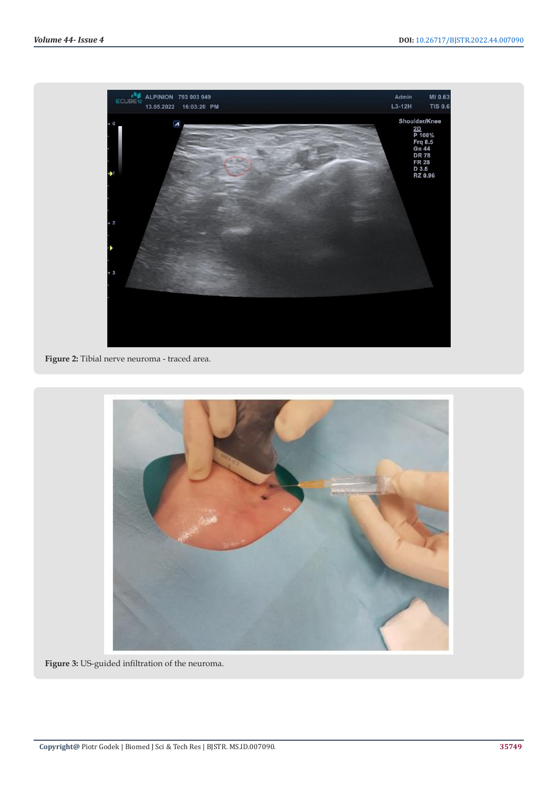

**Figure 2:** Tibial nerve neuroma - traced area.



**Figure 3:** US-guided infiltration of the neuroma.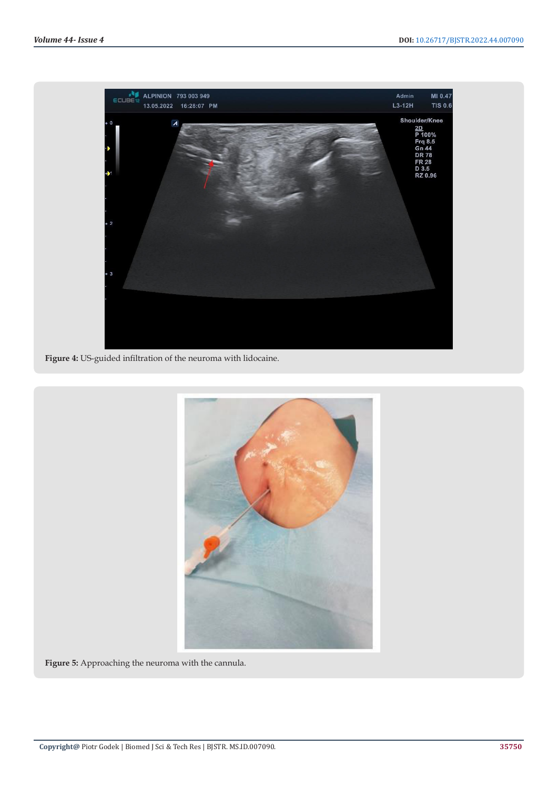

**Figure 4:** US-guided infiltration of the neuroma with lidocaine.



**Figure 5:** Approaching the neuroma with the cannula.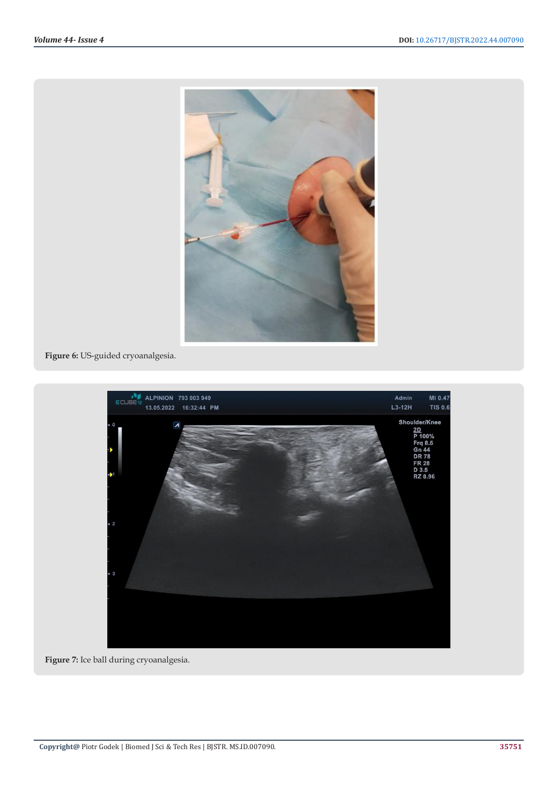

**Figure 6:** US-guided cryoanalgesia.



**Figure 7:** Ice ball during cryoanalgesia.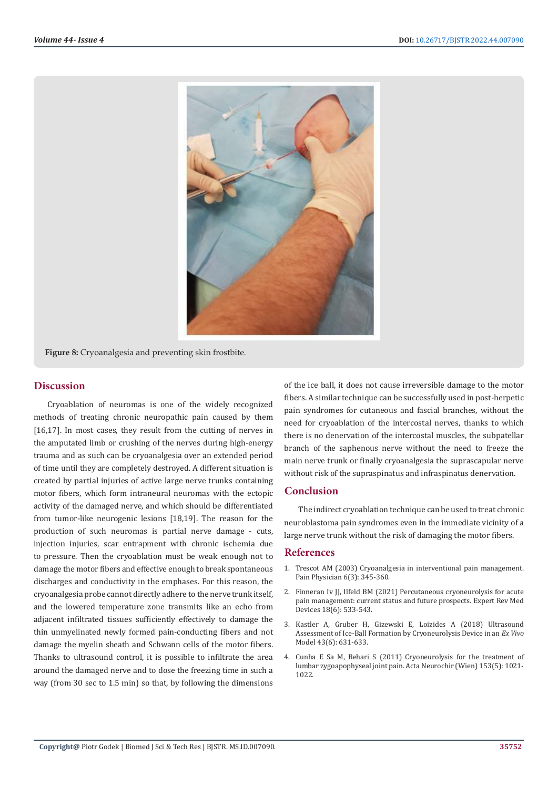

**Figure 8:** Cryoanalgesia and preventing skin frostbite.

# **Discussion**

Cryoablation of neuromas is one of the widely recognized methods of treating chronic neuropathic pain caused by them [16,17]. In most cases, they result from the cutting of nerves in the amputated limb or crushing of the nerves during high-energy trauma and as such can be cryoanalgesia over an extended period of time until they are completely destroyed. A different situation is created by partial injuries of active large nerve trunks containing motor fibers, which form intraneural neuromas with the ectopic activity of the damaged nerve, and which should be differentiated from tumor-like neurogenic lesions [18,19]. The reason for the production of such neuromas is partial nerve damage - cuts, injection injuries, scar entrapment with chronic ischemia due to pressure. Then the cryoablation must be weak enough not to damage the motor fibers and effective enough to break spontaneous discharges and conductivity in the emphases. For this reason, the cryoanalgesia probe cannot directly adhere to the nerve trunk itself, and the lowered temperature zone transmits like an echo from adjacent infiltrated tissues sufficiently effectively to damage the thin unmyelinated newly formed pain-conducting fibers and not damage the myelin sheath and Schwann cells of the motor fibers. Thanks to ultrasound control, it is possible to infiltrate the area around the damaged nerve and to dose the freezing time in such a way (from 30 sec to 1.5 min) so that, by following the dimensions

of the ice ball, it does not cause irreversible damage to the motor fibers. A similar technique can be successfully used in post-herpetic pain syndromes for cutaneous and fascial branches, without the need for cryoablation of the intercostal nerves, thanks to which there is no denervation of the intercostal muscles, the subpatellar branch of the saphenous nerve without the need to freeze the main nerve trunk or finally cryoanalgesia the suprascapular nerve without risk of the supraspinatus and infraspinatus denervation.

# **Conclusion**

The indirect cryoablation technique can be used to treat chronic neuroblastoma pain syndromes even in the immediate vicinity of a large nerve trunk without the risk of damaging the motor fibers.

# **References**

- 1. [Trescot AM \(2003\) Cryoanalgesia in interventional pain management.](https://pubmed.ncbi.nlm.nih.gov/16880882/) [Pain Physician 6\(3\): 345-360.](https://pubmed.ncbi.nlm.nih.gov/16880882/)
- 2. [Finneran Iv JJ, Ilfeld BM \(2021\) Percutaneous cryoneurolysis for acute](https://pubmed.ncbi.nlm.nih.gov/33961531/) [pain management: current status and future prospects. Expert Rev Med](https://pubmed.ncbi.nlm.nih.gov/33961531/) [Devices 18\(6\): 533-543.](https://pubmed.ncbi.nlm.nih.gov/33961531/)
- 3. [Kastler A, Gruber H, Gizewski E, Loizides A \(2018\) Ultrasound](https://pubmed.ncbi.nlm.nih.gov/29781931/) [Assessment of Ice-Ball Formation by Cryoneurolysis Device in an](https://pubmed.ncbi.nlm.nih.gov/29781931/) *Ex Vivo* [Model 43\(6\): 631-633.](https://pubmed.ncbi.nlm.nih.gov/29781931/)
- 4. [Cunha E Sa M, Behari S \(2011\) Cryoneurolysis for the treatment of](https://pubmed.ncbi.nlm.nih.gov/21347580/) [lumbar zygoapophyseal joint pain. Acta Neurochir \(Wien\) 153\(5\): 1021-](https://pubmed.ncbi.nlm.nih.gov/21347580/) [1022.](https://pubmed.ncbi.nlm.nih.gov/21347580/)